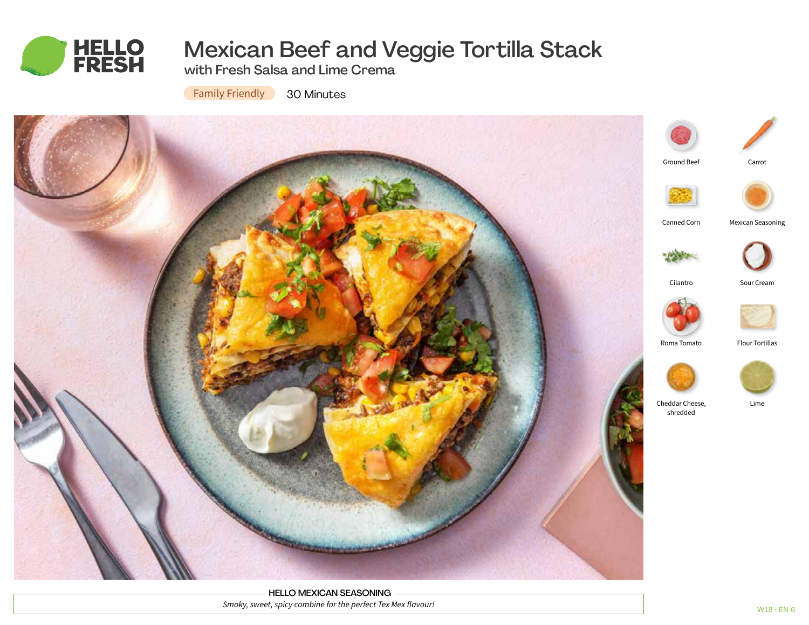

# Mexican Beef and Veggie Tortilla Stack

with Fresh Salsa and Lime Crema

**Family Friendly** 30 Minutes



HELLO MEXICAN SEASONING *Smoky, sweet, spicy combine for the perfect Tex Mex flavour!*